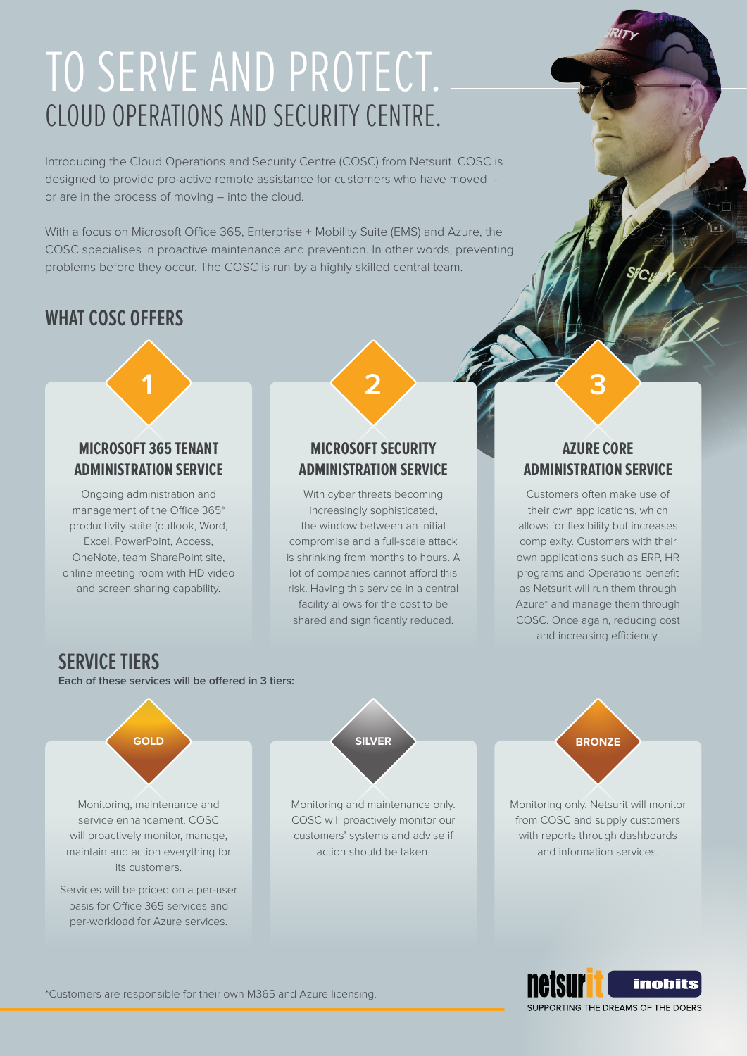# CLOUD OPERATIONS AND SECURITY CENTRE. TO SERVE AND PROTECT.

Introducing the Cloud Operations and Security Centre (COSC) from Netsurit. COSC is designed to provide pro-active remote assistance for customers who have moved or are in the process of moving – into the cloud.

With a focus on Microsoft Office 365, Enterprise + Mobility Suite (EMS) and Azure, the COSC specialises in proactive maintenance and prevention. In other words, preventing problems before they occur. The COSC is run by a highly skilled central team.

## **WHAT COSC OFFERS**

## **MICROSOFT 365 TENANT ADMINISTRATION SERVICE**

Ongoing administration and management of the Office 365\* productivity suite (outlook, Word, Excel, PowerPoint, Access, OneNote, team SharePoint site, online meeting room with HD video and screen sharing capability.

### **MICROSOFT SECURITY ADMINISTRATION SERVICE**

**1 2 3**

With cyber threats becoming increasingly sophisticated, the window between an initial compromise and a full-scale attack is shrinking from months to hours. A lot of companies cannot afford this risk. Having this service in a central facility allows for the cost to be shared and significantly reduced.

### **AZURE CORE ADMINISTRATION SERVICE**

Customers often make use of their own applications, which allows for flexibility but increases complexity. Customers with their own applications such as ERP, HR programs and Operations benefit as Netsurit will run them through Azure\* and manage them through COSC. Once again, reducing cost and increasing efficiency.

## **SERVICE TIERS**

**Each of these services will be offered in 3 tiers:**



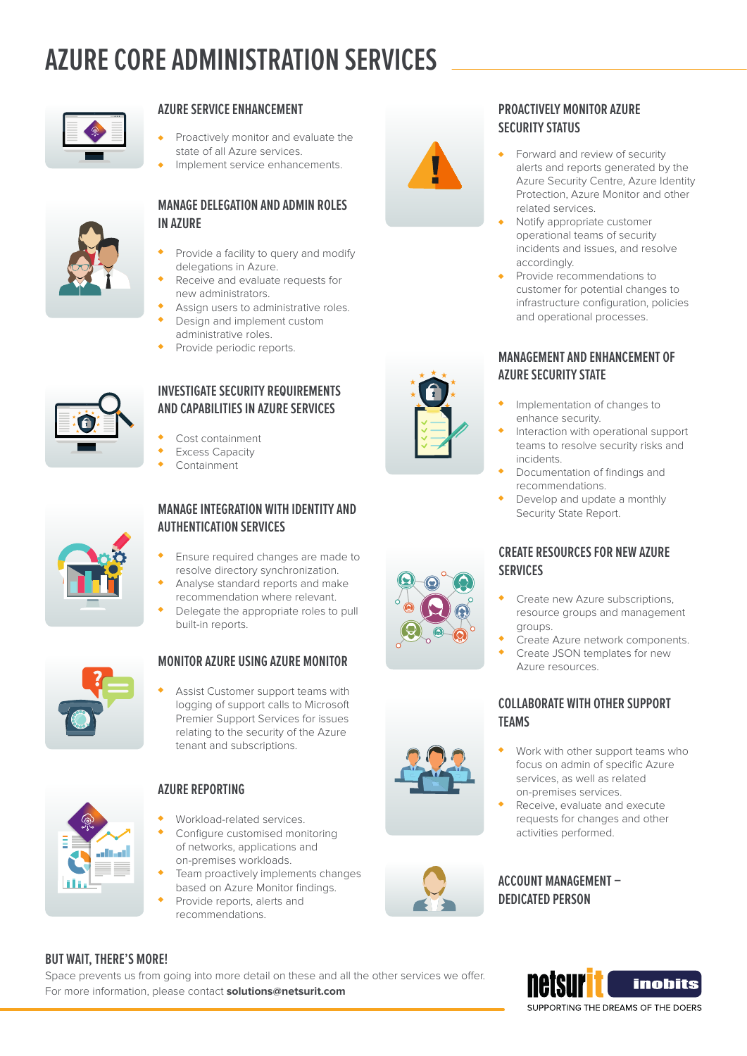## **AZURE CORE ADMINISTRATION SERVICES**



#### **AZURE SERVICE ENHANCEMENT**

- Proactively monitor and evaluate the state of all Azure services.
- Implement service enhancements.



#### **MANAGE DELEGATION AND ADMIN ROLES IN AZURE**

- Provide a facility to query and modify delegations in Azure.
- Receive and evaluate requests for new administrators.
- Assign users to administrative roles.
- Design and implement custom administrative roles.
- Provide periodic reports.



#### **INVESTIGATE SECURITY REQUIREMENTS AND CAPABILITIES IN AZURE SERVICES**

- Cost containment
- Excess Capacity
- Containment



#### **MANAGE INTEGRATION WITH IDENTITY AND AUTHENTICATION SERVICES**

- Ensure required changes are made to resolve directory synchronization.
- Analyse standard reports and make recommendation where relevant.
- Delegate the appropriate roles to pull built-in reports.



#### **MONITOR AZURE USING AZURE MONITOR**

Assist Customer support teams with logging of support calls to Microsoft Premier Support Services for issues relating to the security of the Azure tenant and subscriptions.



#### **AZURE REPORTING**

- Workload-related services.
- Configure customised monitoring of networks, applications and on-premises workloads.
- Team proactively implements changes based on Azure Monitor findings.
- Provide reports, alerts and recommendations.





#### **PROACTIVELY MONITOR AZURE SECURITY STATUS**

- Forward and review of security alerts and reports generated by the Azure Security Centre, Azure Identity Protection, Azure Monitor and other related services.
- Notify appropriate customer operational teams of security incidents and issues, and resolve accordingly.
- Provide recommendations to customer for potential changes to infrastructure configuration, policies and operational processes.

#### **MANAGEMENT AND ENHANCEMENT OF AZURE SECURITY STATE**

- Implementation of changes to enhance security.
- Interaction with operational support teams to resolve security risks and incidents.
- Documentation of findings and recommendations.
- Develop and update a monthly Security State Report.

#### **CREATE RESOURCES FOR NEW AZURE SERVICES**

- Create new Azure subscriptions resource groups and management groups.
- Create Azure network components.
- Create JSON templates for new Azure resources.

#### **COLLABORATE WITH OTHER SUPPORT TEAMS**

- Work with other support teams who focus on admin of specific Azure services, as well as related on-premises services.
- Receive, evaluate and execute requests for changes and other activities performed.



#### **BUT WAIT, THERE'S MORE!**

Space prevents us from going into more detail on these and all the other services we offer. For more information, please contact **solutions@netsurit.com**